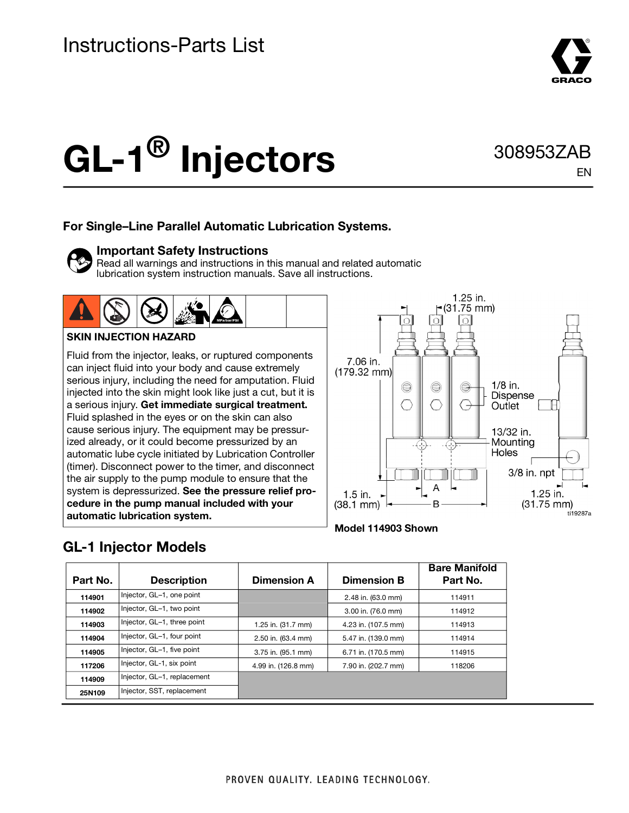

EN

# GL-1<sup>®</sup> Injectors 308953ZAB

#### **For Single–Line Parallel Automatic Lubrication Systems.**

#### **Important Safety Instructions**

Read all warnings and instructions in this manual and related automatic lubrication system instruction manuals. Save all instructions.



#### **SKIN INJECTION HAZARD**

Fluid from the injector, leaks, or ruptured components can inject fluid into your body and cause extremely serious injury, including the need for amputation. Fluid injected into the skin might look like just a cut, but it is a serious injury. **Get immediate surgical treatment.** Fluid splashed in the eyes or on the skin can also cause serious injury. The equipment may be pressurized already, or it could become pressurized by an automatic lube cycle initiated by Lubrication Controller (timer). Disconnect power to the timer, and disconnect the air supply to the pump module to ensure that the system is depressurized. **See the pressure relief procedure in the pump manual included with your automatic lubrication system.**





## **GL-1 Injector Models**

| Part No. | <b>Description</b>          | <b>Dimension A</b>  | <b>Dimension B</b>  | <b>Bare Manifold</b><br>Part No. |
|----------|-----------------------------|---------------------|---------------------|----------------------------------|
| 114901   | Injector, GL-1, one point   |                     | 2.48 in. (63.0 mm)  | 114911                           |
| 114902   | Injector, GL-1, two point   |                     | 3.00 in. (76.0 mm)  | 114912                           |
| 114903   | Injector, GL-1, three point | 1.25 in. (31.7 mm)  | 4.23 in. (107.5 mm) | 114913                           |
| 114904   | Injector, GL-1, four point  | 2.50 in. (63.4 mm)  | 5.47 in. (139.0 mm) | 114914                           |
| 114905   | Injector, GL-1, five point  | 3.75 in. (95.1 mm)  | 6.71 in. (170.5 mm) | 114915                           |
| 117206   | Injector, GL-1, six point   | 4.99 in. (126.8 mm) | 7.90 in. (202.7 mm) | 118206                           |
| 114909   | Injector, GL-1, replacement |                     |                     |                                  |
| 25N109   | Injector, SST, replacement  |                     |                     |                                  |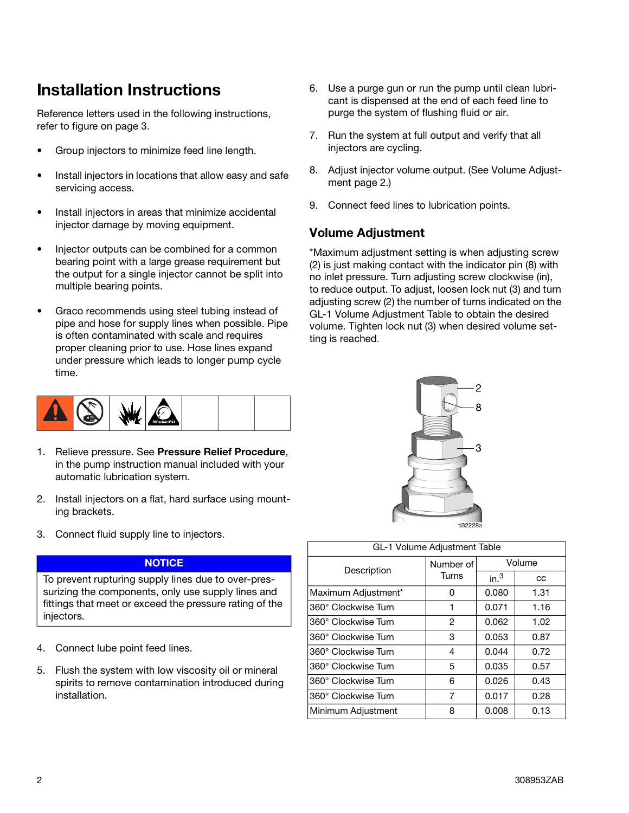## **Installation Instructions**

Reference letters used in the following instructions, refer to figure on page [3](#page-2-0).

- Group injectors to minimize feed line length.
- Install injectors in locations that allow easy and safe servicing access.
- Install injectors in areas that minimize accidental injector damage by moving equipment.
- Injector outputs can be combined for a common bearing point with a large grease requirement but the output for a single injector cannot be split into multiple bearing points.
- Graco recommends using steel tubing instead of pipe and hose for supply lines when possible. Pipe is often contaminated with scale and requires proper cleaning prior to use. Hose lines expand under pressure which leads to longer pump cycle time.



- 1. Relieve pressure. See **Pressure Relief Procedure**, in the pump instruction manual included with your automatic lubrication system.
- 2. Install injectors on a flat, hard surface using mounting brackets.
- 3. Connect fluid supply line to injectors.

#### **NOTICE**

To prevent rupturing supply lines due to over-pressurizing the components, only use supply lines and fittings that meet or exceed the pressure rating of the injectors.

- 4. Connect lube point feed lines.
- 5. Flush the system with low viscosity oil or mineral spirits to remove contamination introduced during installation.
- 6. Use a purge gun or run the pump until clean lubricant is dispensed at the end of each feed line to purge the system of flushing fluid or air.
- 7. Run the system at full output and verify that all injectors are cycling.
- 8. Adjust injector volume output. (See Volume Adjustment page [2.](#page-1-0))
- 9. Connect feed lines to lubrication points.

#### <span id="page-1-0"></span>**Volume Adjustment**

\*Maximum adjustment setting is when adjusting screw (2) is just making contact with the indicator pin (8) with no inlet pressure. Turn adjusting screw clockwise (in), to reduce output. To adjust, loosen lock nut (3) and turn adjusting screw (2) the number of turns indicated on the GL-1 Volume Adjustment Table to obtain the desired volume. Tighten lock nut (3) when desired volume setting is reached.



| GL-1 Volume Adjustment Table |                    |                  |      |
|------------------------------|--------------------|------------------|------|
| Description                  | Number of<br>Turns | Volume           |      |
|                              |                    | in. <sup>3</sup> | CC   |
| Maximum Adjustment*          | Ω                  | 0.080            | 1.31 |
| 360° Clockwise Turn          | 1                  | 0.071            | 1.16 |
| 360° Clockwise Turn          | 2                  | 0.062            | 1.02 |
| 360° Clockwise Turn          | 3                  | 0.053            | 0.87 |
| 360° Clockwise Turn          | 4                  | 0.044            | 0.72 |
| 360° Clockwise Turn          | 5                  | 0.035            | 0.57 |
| 360° Clockwise Turn          | 6                  | 0.026            | 0.43 |
| 360° Clockwise Turn          | 7                  | 0.017            | 0.28 |
| Minimum Adjustment           | 8                  | 0.008            | 0.13 |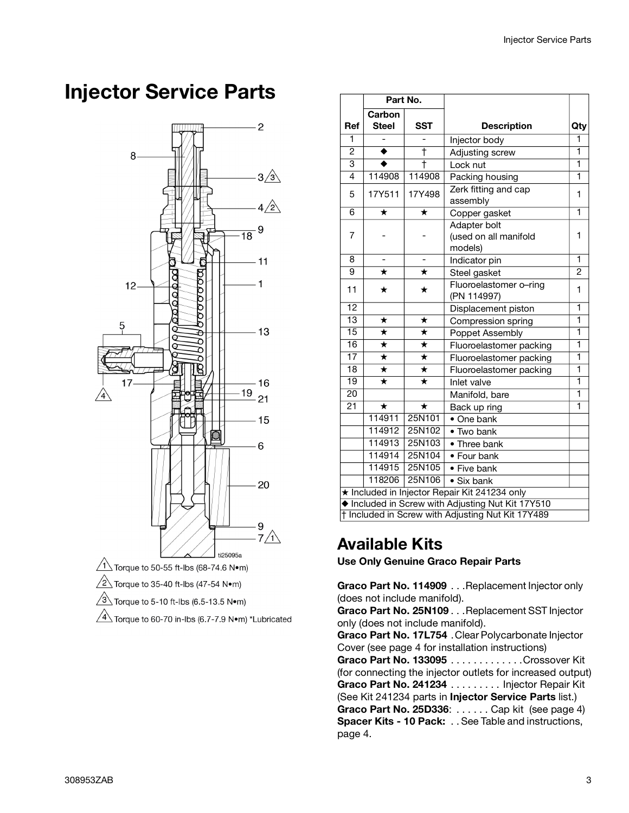## <span id="page-2-0"></span>**Injector Service Parts**



 $\sqrt{4}$  Torque to 60-70 in-lbs (6.7-7.9 N•m) \*Lubricated

|                                                   | Part No.           |                    |                                  |                |  |
|---------------------------------------------------|--------------------|--------------------|----------------------------------|----------------|--|
|                                                   | Carbon             |                    |                                  |                |  |
| Ref                                               | <b>Steel</b>       | <b>SST</b>         | <b>Description</b>               | Qty            |  |
| 1                                                 |                    |                    | Injector body                    | 1              |  |
| $\overline{2}$                                    | ۰                  | Ŧ                  | Adjusting screw                  | ī              |  |
| 3                                                 | ٠                  | Ŧ                  | Lock nut                         | ī              |  |
| 4                                                 | 114908             | 114908             | Packing housing                  | 1              |  |
| 5                                                 | 17Y511             | 17Y498             | Zerk fitting and cap<br>assembly | 1              |  |
| $\overline{6}$                                    | $\star$            | $\star$            | Copper gasket                    | ī              |  |
|                                                   |                    |                    | Adapter bolt                     |                |  |
| 7                                                 |                    |                    | (used on all manifold            | 1              |  |
|                                                   |                    |                    | models)                          |                |  |
| 8                                                 |                    |                    | Indicator pin                    | 1              |  |
| 9                                                 | $\star$            | $\star$            | Steel gasket                     | $\overline{2}$ |  |
| 11                                                | ★                  | ★                  | Fluoroelastomer o-ring           | 1              |  |
|                                                   |                    |                    | (PN 114997)                      |                |  |
| $\overline{12}$                                   |                    |                    | Displacement piston              | 1              |  |
| $\overline{13}$                                   | $\star$            | ★                  | Compression spring               | $\overline{1}$ |  |
| $\overline{15}$                                   | $\overline{\ast}$  | $\star$            | Poppet Assembly                  | 1              |  |
| $\overline{16}$                                   | $\star$            | $\star$            | Fluoroelastomer packing          | ī              |  |
| $\overline{17}$                                   | $\overline{\star}$ | $\star$            | Fluoroelastomer packing          | ī              |  |
| $\overline{18}$                                   | $\overline{\star}$ | $\overline{\star}$ | Fluoroelastomer packing          | ī              |  |
| $\overline{19}$                                   | $\star$            | $\star$            | Inlet valve                      | 1              |  |
| $\overline{20}$                                   |                    |                    | Manifold, bare                   | ī              |  |
| $\overline{21}$                                   | $\star$            | $\star$            | Back up ring                     | ī              |  |
|                                                   | 114911             | 25N101             | • One bank                       |                |  |
|                                                   | 114912             | 25N102             | • Two bank                       |                |  |
|                                                   | 114913             | 25N103             | • Three bank                     |                |  |
|                                                   | 114914             | 25N104             | • Four bank                      |                |  |
|                                                   | 114915             | 25N105             | • Five bank                      |                |  |
|                                                   | 118206             | 25N106             | • Six bank                       |                |  |
| ★ Included in Injector Repair Kit 241234 only     |                    |                    |                                  |                |  |
| ♦ Included in Screw with Adjusting Nut Kit 17Y510 |                    |                    |                                  |                |  |
| † Included in Screw with Adjusting Nut Kit 17Y489 |                    |                    |                                  |                |  |

### **Available Kits**

**Use Only Genuine Graco Repair Parts**

**Graco Part No. 114909** . . .Replacement Injector only (does not include manifold).

**Graco Part No. 25N109** . . .Replacement SST Injector only (does not include manifold).

**Graco Part No. 17L754** .Clear Polycarbonate Injector Cover (see page [4](#page-3-0) for installation instructions) **Graco Part No. 133095** . . . . . . . . . . . . .Crossover Kit (for connecting the injector outlets for increased output) **Graco Part No. 241234** . . . . . . . . . Injector Repair Kit (See Kit 241234 parts in **Injector Service Parts** list.) **Graco Part No. 25D336**: . . . . . . Cap kit (see page [4](#page-3-0)) **Spacer Kits - 10 Pack:** . . See Table and instructions, page [4](#page-3-0).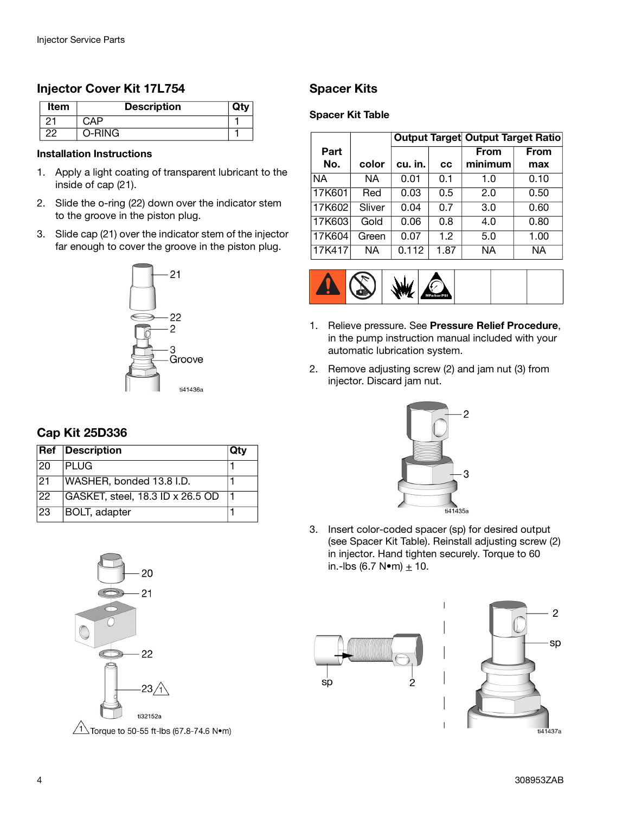#### **Injector Cover Kit 17L754**

| <b>Item</b> | <b>Description</b> |  |
|-------------|--------------------|--|
| 2.          |                    |  |
| nr          | O-RING.            |  |

#### **Installation Instructions**

- 1. Apply a light coating of transparent lubricant to the inside of cap (21).
- 2. Slide the o-ring (22) down over the indicator stem to the groove in the piston plug.
- 3. Slide cap (21) over the indicator stem of the injector far enough to cover the groove in the piston plug.



#### <span id="page-3-0"></span>**Cap Kit 25D336**

|           | <b>Ref</b> Description           | Qtv |
|-----------|----------------------------------|-----|
| 120       | <b>IPLUG</b>                     |     |
| 21        | WASHER, bonded 13.8 I.D.         |     |
| <b>22</b> | GASKET, steel, 18.3 ID x 26.5 OD |     |
| 23        | <b>BOLT</b> , adapter            |     |



 $\sqrt{1}$  Torque to 50-55 ft-lbs (67.8-74.6 N $\bullet$ m)

#### **Spacer Kits**

#### **Spacer Kit Table**

|             |        |         |      | <b>Output Target Output Target Ratio</b> |             |
|-------------|--------|---------|------|------------------------------------------|-------------|
| Part<br>No. | color  | cu. in. | CC   | <b>From</b><br>minimum                   | From<br>max |
| NA.         | ΝA     | 0.01    | 0.1  | 1.0                                      | 0.10        |
| 17K601      | Red    | 0.03    | 0.5  | 2.0                                      | 0.50        |
| 17K602      | Sliver | 0.04    | 0.7  | 3.0                                      | 0.60        |
| 17K603      | Gold   | 0.06    | 0.8  | 4.0                                      | 0.80        |
| 17K604      | Green  | 0.07    | 1.2  | 5.0                                      | 1.00        |
| 17K417      | ΝA     | 0.112   | 1.87 | ΝA                                       | NА          |



- 1. Relieve pressure. See **Pressure Relief Procedure**, in the pump instruction manual included with your automatic lubrication system.
- 2. Remove adjusting screw (2) and jam nut (3) from injector. Discard jam nut.



3. Insert color-coded spacer (sp) for desired output (see Spacer Kit Table). Reinstall adjusting screw (2) in injector. Hand tighten securely. Torque to 60 in.-lbs (6.7 N•m)  $\pm$  10.



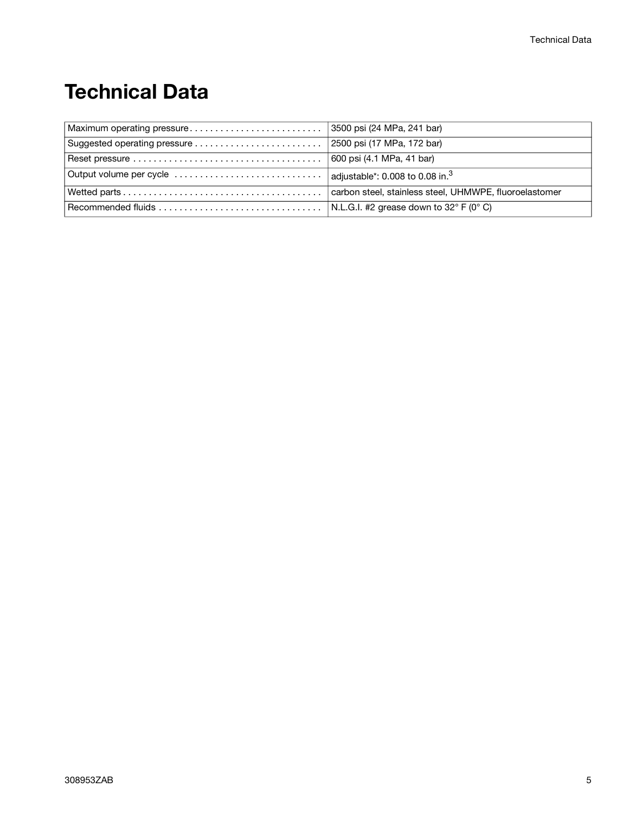# **Technical Data**

| Output volume per cycle $\ldots \ldots \ldots \ldots \ldots \ldots \ldots \ldots$ adjustable*: 0.008 to 0.08 in. <sup>3</sup> |                                                        |
|-------------------------------------------------------------------------------------------------------------------------------|--------------------------------------------------------|
|                                                                                                                               | carbon steel, stainless steel, UHMWPE, fluoroelastomer |
|                                                                                                                               |                                                        |